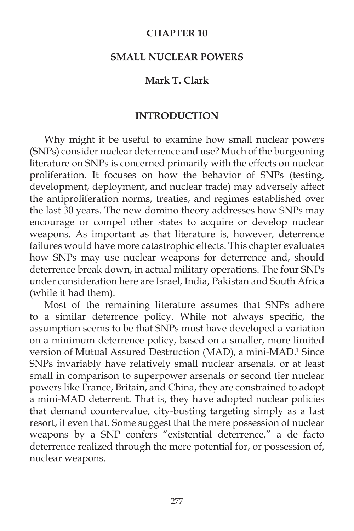## **CHAPTER 10**

### **SMALL NUCLEAR POWERS**

## **Mark T. Clark**

#### **INTRODUCTION**

 Why might it be useful to examine how small nuclear powers (SNPs) consider nuclear deterrence and use? Much of the burgeoning literature on SNPs is concerned primarily with the effects on nuclear proliferation. It focuses on how the behavior of SNPs (testing, development, deployment, and nuclear trade) may adversely affect the antiproliferation norms, treaties, and regimes established over the last 30 years. The new domino theory addresses how SNPs may encourage or compel other states to acquire or develop nuclear weapons. As important as that literature is, however, deterrence failures would have more catastrophic effects. This chapter evaluates how SNPs may use nuclear weapons for deterrence and, should deterrence break down, in actual military operations. The four SNPs under consideration here are Israel, India, Pakistan and South Africa (while it had them).

 Most of the remaining literature assumes that SNPs adhere to a similar deterrence policy. While not always specific, the assumption seems to be that SNPs must have developed a variation on a minimum deterrence policy, based on a smaller, more limited version of Mutual Assured Destruction (MAD), a mini-MAD.<sup>1</sup> Since SNPs invariably have relatively small nuclear arsenals, or at least small in comparison to superpower arsenals or second tier nuclear powers like France, Britain, and China, they are constrained to adopt a mini-MAD deterrent. That is, they have adopted nuclear policies that demand countervalue, city-busting targeting simply as a last resort, if even that. Some suggest that the mere possession of nuclear weapons by a SNP confers "existential deterrence," a de facto deterrence realized through the mere potential for, or possession of, nuclear weapons.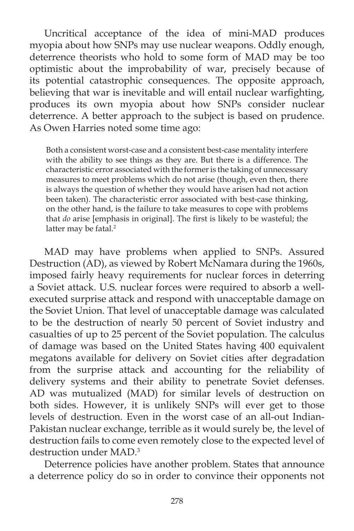Uncritical acceptance of the idea of mini-MAD produces myopia about how SNPs may use nuclear weapons. Oddly enough, deterrence theorists who hold to some form of MAD may be too optimistic about the improbability of war, precisely because of its potential catastrophic consequences. The opposite approach, believing that war is inevitable and will entail nuclear warfighting, produces its own myopia about how SNPs consider nuclear deterrence. A better approach to the subject is based on prudence. As Owen Harries noted some time ago:

Both a consistent worst-case and a consistent best-case mentality interfere with the ability to see things as they are. But there is a difference. The characteristic error associated with the former is the taking of unnecessary measures to meet problems which do not arise (though, even then, there is always the question of whether they would have arisen had not action been taken). The characteristic error associated with best-case thinking, on the other hand, is the failure to take measures to cope with problems that *do* arise [emphasis in original]. The first is likely to be wasteful; the latter may be fatal.<sup>2</sup>

 MAD may have problems when applied to SNPs. Assured Destruction (AD), as viewed by Robert McNamara during the 1960s, imposed fairly heavy requirements for nuclear forces in deterring a Soviet attack. U.S. nuclear forces were required to absorb a wellexecuted surprise attack and respond with unacceptable damage on the Soviet Union. That level of unacceptable damage was calculated to be the destruction of nearly 50 percent of Soviet industry and casualties of up to 25 percent of the Soviet population. The calculus of damage was based on the United States having 400 equivalent megatons available for delivery on Soviet cities after degradation from the surprise attack and accounting for the reliability of delivery systems and their ability to penetrate Soviet defenses. AD was mutualized (MAD) for similar levels of destruction on both sides. However, it is unlikely SNPs will ever get to those levels of destruction. Even in the worst case of an all-out Indian-Pakistan nuclear exchange, terrible as it would surely be, the level of destruction fails to come even remotely close to the expected level of destruction under MAD.3

 Deterrence policies have another problem. States that announce a deterrence policy do so in order to convince their opponents not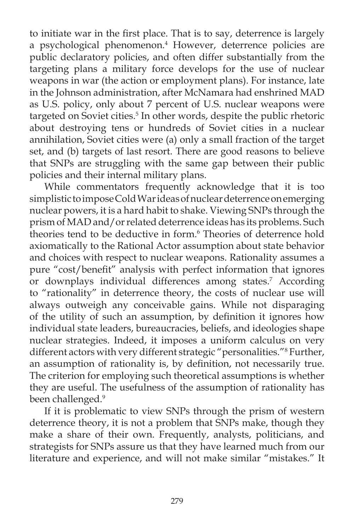to initiate war in the first place. That is to say, deterrence is largely a psychological phenomenon.<sup>4</sup> However, deterrence policies are public declaratory policies, and often differ substantially from the targeting plans a military force develops for the use of nuclear weapons in war (the action or employment plans). For instance, late in the Johnson administration, after McNamara had enshrined MAD as U.S. policy, only about 7 percent of U.S. nuclear weapons were targeted on Soviet cities.<sup>5</sup> In other words, despite the public rhetoric about destroying tens or hundreds of Soviet cities in a nuclear annihilation, Soviet cities were (a) only a small fraction of the target set, and (b) targets of last resort. There are good reasons to believe that SNPs are struggling with the same gap between their public policies and their internal military plans.

 While commentators frequently acknowledge that it is too simplistic to impose Cold War ideas of nuclear deterrence on emerging nuclear powers, it is a hard habit to shake. Viewing SNPs through the prism of MAD and/or related deterrence ideas has its problems. Such theories tend to be deductive in form.<sup>6</sup> Theories of deterrence hold axiomatically to the Rational Actor assumption about state behavior and choices with respect to nuclear weapons. Rationality assumes a pure "cost/benefit" analysis with perfect information that ignores or downplays individual differences among states.<sup>7</sup> According to "rationality" in deterrence theory, the costs of nuclear use will always outweigh any conceivable gains. While not disparaging of the utility of such an assumption, by definition it ignores how individual state leaders, bureaucracies, beliefs, and ideologies shape nuclear strategies. Indeed, it imposes a uniform calculus on very different actors with very different strategic "personalities."8 Further, an assumption of rationality is, by definition, not necessarily true. The criterion for employing such theoretical assumptions is whether they are useful. The usefulness of the assumption of rationality has been challenged.<sup>9</sup>

 If it is problematic to view SNPs through the prism of western deterrence theory, it is not a problem that SNPs make, though they make a share of their own. Frequently, analysts, politicians, and strategists for SNPs assure us that they have learned much from our literature and experience, and will not make similar "mistakes." It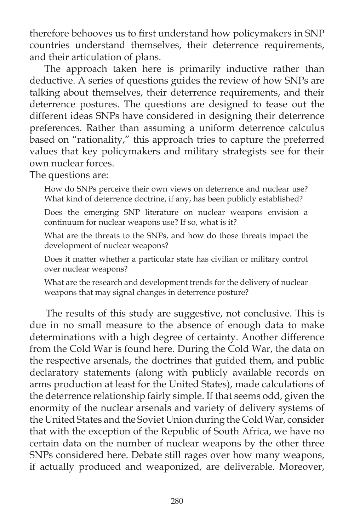therefore behooves us to first understand how policymakers in SNP countries understand themselves, their deterrence requirements, and their articulation of plans.

 The approach taken here is primarily inductive rather than deductive. A series of questions guides the review of how SNPs are talking about themselves, their deterrence requirements, and their deterrence postures. The questions are designed to tease out the different ideas SNPs have considered in designing their deterrence preferences. Rather than assuming a uniform deterrence calculus based on "rationality," this approach tries to capture the preferred values that key policymakers and military strategists see for their own nuclear forces.

The questions are:

How do SNPs perceive their own views on deterrence and nuclear use? What kind of deterrence doctrine, if any, has been publicly established?

Does the emerging SNP literature on nuclear weapons envision a continuum for nuclear weapons use? If so, what is it?

What are the threats to the SNPs, and how do those threats impact the development of nuclear weapons?

Does it matter whether a particular state has civilian or military control over nuclear weapons?

What are the research and development trends for the delivery of nuclear weapons that may signal changes in deterrence posture?

The results of this study are suggestive, not conclusive. This is due in no small measure to the absence of enough data to make determinations with a high degree of certainty. Another difference from the Cold War is found here. During the Cold War, the data on the respective arsenals, the doctrines that guided them, and public declaratory statements (along with publicly available records on arms production at least for the United States), made calculations of the deterrence relationship fairly simple. If that seems odd, given the enormity of the nuclear arsenals and variety of delivery systems of the United States and the Soviet Union during the Cold War, consider that with the exception of the Republic of South Africa, we have no certain data on the number of nuclear weapons by the other three SNPs considered here. Debate still rages over how many weapons, if actually produced and weaponized, are deliverable. Moreover,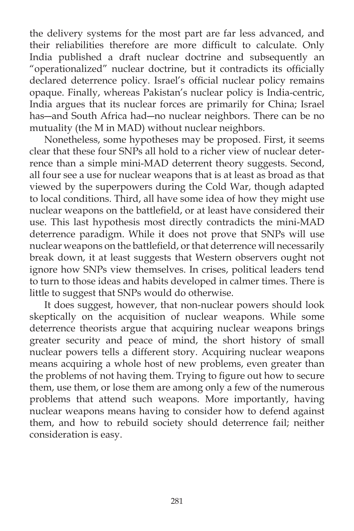the delivery systems for the most part are far less advanced, and their reliabilities therefore are more difficult to calculate. Only India published a draft nuclear doctrine and subsequently an "operationalized" nuclear doctrine, but it contradicts its officially declared deterrence policy. Israel's official nuclear policy remains opaque. Finally, whereas Pakistan's nuclear policy is India-centric, India argues that its nuclear forces are primarily for China; Israel has―and South Africa had―no nuclear neighbors. There can be no mutuality (the M in MAD) without nuclear neighbors.

 Nonetheless, some hypotheses may be proposed. First, it seems clear that these four SNPs all hold to a richer view of nuclear deterrence than a simple mini-MAD deterrent theory suggests. Second, all four see a use for nuclear weapons that is at least as broad as that viewed by the superpowers during the Cold War, though adapted to local conditions. Third, all have some idea of how they might use nuclear weapons on the battlefield, or at least have considered their use. This last hypothesis most directly contradicts the mini-MAD deterrence paradigm. While it does not prove that SNPs will use nuclear weapons on the battlefield, or that deterrence will necessarily break down, it at least suggests that Western observers ought not ignore how SNPs view themselves. In crises, political leaders tend to turn to those ideas and habits developed in calmer times. There is little to suggest that SNPs would do otherwise.

It does suggest, however, that non-nuclear powers should look skeptically on the acquisition of nuclear weapons. While some deterrence theorists argue that acquiring nuclear weapons brings greater security and peace of mind, the short history of small nuclear powers tells a different story. Acquiring nuclear weapons means acquiring a whole host of new problems, even greater than the problems of not having them. Trying to figure out how to secure them, use them, or lose them are among only a few of the numerous problems that attend such weapons. More importantly, having nuclear weapons means having to consider how to defend against them, and how to rebuild society should deterrence fail; neither consideration is easy.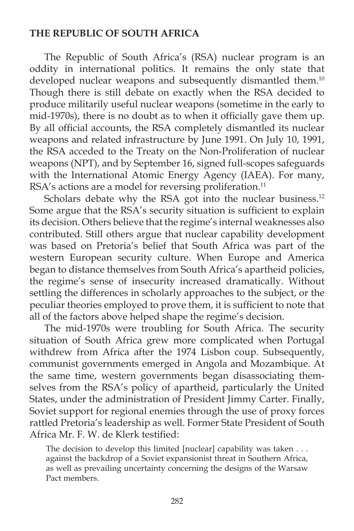## **THE REPUBLIC OF SOUTH AFRICA**

 The Republic of South Africa's (RSA) nuclear program is an oddity in international politics. It remains the only state that developed nuclear weapons and subsequently dismantled them.<sup>10</sup> Though there is still debate on exactly when the RSA decided to produce militarily useful nuclear weapons (sometime in the early to mid-1970s), there is no doubt as to when it officially gave them up. By all official accounts, the RSA completely dismantled its nuclear weapons and related infrastructure by June 1991. On July 10, 1991, the RSA acceded to the Treaty on the Non-Proliferation of nuclear weapons (NPT), and by September 16, signed full-scopes safeguards with the International Atomic Energy Agency (IAEA). For many, RSA's actions are a model for reversing proliferation.<sup>11</sup>

Scholars debate why the RSA got into the nuclear business.<sup>12</sup> Some argue that the RSA's security situation is sufficient to explain its decision. Others believe that the regime's internal weaknesses also contributed. Still others argue that nuclear capability development was based on Pretoria's belief that South Africa was part of the western European security culture. When Europe and America began to distance themselves from South Africa's apartheid policies, the regime's sense of insecurity increased dramatically. Without settling the differences in scholarly approaches to the subject, or the peculiar theories employed to prove them, it is sufficient to note that all of the factors above helped shape the regime's decision.

 The mid-1970s were troubling for South Africa. The security situation of South Africa grew more complicated when Portugal withdrew from Africa after the 1974 Lisbon coup. Subsequently, communist governments emerged in Angola and Mozambique. At the same time, western governments began disassociating themselves from the RSA's policy of apartheid, particularly the United States, under the administration of President Jimmy Carter. Finally, Soviet support for regional enemies through the use of proxy forces rattled Pretoria's leadership as well. Former State President of South Africa Mr. F. W. de Klerk testified:

The decision to develop this limited [nuclear] capability was taken . . . against the backdrop of a Soviet expansionist threat in Southern Africa, as well as prevailing uncertainty concerning the designs of the Warsaw Pact members.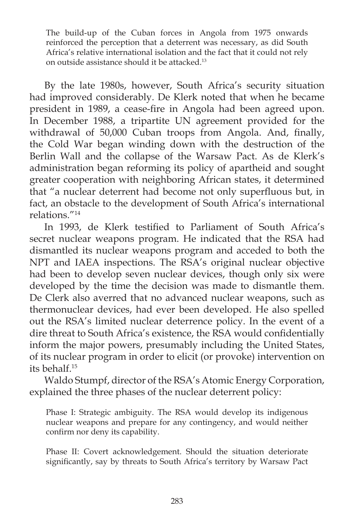The build-up of the Cuban forces in Angola from 1975 onwards reinforced the perception that a deterrent was necessary, as did South Africa's relative international isolation and the fact that it could not rely on outside assistance should it be attacked.13

 By the late 1980s, however, South Africa's security situation had improved considerably. De Klerk noted that when he became president in 1989, a cease-fire in Angola had been agreed upon. In December 1988, a tripartite UN agreement provided for the withdrawal of 50,000 Cuban troops from Angola. And, finally, the Cold War began winding down with the destruction of the Berlin Wall and the collapse of the Warsaw Pact. As de Klerk's administration began reforming its policy of apartheid and sought greater cooperation with neighboring African states, it determined that "a nuclear deterrent had become not only superfluous but, in fact, an obstacle to the development of South Africa's international relations."14

In 1993, de Klerk testified to Parliament of South Africa's secret nuclear weapons program. He indicated that the RSA had dismantled its nuclear weapons program and acceded to both the NPT and IAEA inspections. The RSA's original nuclear objective had been to develop seven nuclear devices, though only six were developed by the time the decision was made to dismantle them. De Clerk also averred that no advanced nuclear weapons, such as thermonuclear devices, had ever been developed. He also spelled out the RSA's limited nuclear deterrence policy. In the event of a dire threat to South Africa's existence, the RSA would confidentially inform the major powers, presumably including the United States, of its nuclear program in order to elicit (or provoke) intervention on its behalf.15

 Waldo Stumpf, director of the RSA's Atomic Energy Corporation, explained the three phases of the nuclear deterrent policy:

Phase I: Strategic ambiguity. The RSA would develop its indigenous nuclear weapons and prepare for any contingency, and would neither confirm nor deny its capability.

Phase II: Covert acknowledgement. Should the situation deteriorate significantly, say by threats to South Africa's territory by Warsaw Pact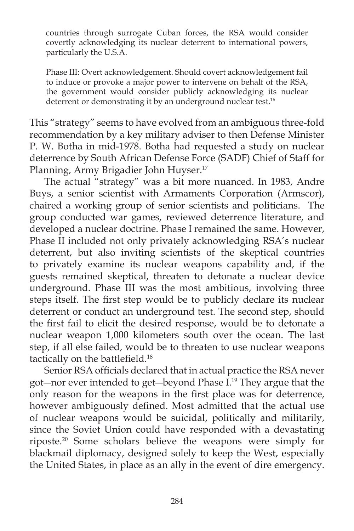countries through surrogate Cuban forces, the RSA would consider covertly acknowledging its nuclear deterrent to international powers, particularly the U.S.A.

Phase III: Overt acknowledgement. Should covert acknowledgement fail to induce or provoke a major power to intervene on behalf of the RSA, the government would consider publicly acknowledging its nuclear deterrent or demonstrating it by an underground nuclear test.<sup>16</sup>

This "strategy" seems to have evolved from an ambiguous three-fold recommendation by a key military adviser to then Defense Minister P. W. Botha in mid-1978. Botha had requested a study on nuclear deterrence by South African Defense Force (SADF) Chief of Staff for Planning, Army Brigadier John Huyser.17

 The actual "strategy" was a bit more nuanced. In 1983, Andre Buys, a senior scientist with Armaments Corporation (Armscor), chaired a working group of senior scientists and politicians. The group conducted war games, reviewed deterrence literature, and developed a nuclear doctrine. Phase I remained the same. However, Phase II included not only privately acknowledging RSA's nuclear deterrent, but also inviting scientists of the skeptical countries to privately examine its nuclear weapons capability and, if the guests remained skeptical, threaten to detonate a nuclear device underground. Phase III was the most ambitious, involving three steps itself. The first step would be to publicly declare its nuclear deterrent or conduct an underground test. The second step, should the first fail to elicit the desired response, would be to detonate a nuclear weapon 1,000 kilometers south over the ocean. The last step, if all else failed, would be to threaten to use nuclear weapons tactically on the battlefield.<sup>18</sup>

Senior RSA officials declared that in actual practice the RSA never got―nor ever intended to get―beyond Phase I.19 They argue that the only reason for the weapons in the first place was for deterrence, however ambiguously defined. Most admitted that the actual use of nuclear weapons would be suicidal, politically and militarily, since the Soviet Union could have responded with a devastating riposte.20 Some scholars believe the weapons were simply for blackmail diplomacy, designed solely to keep the West, especially the United States, in place as an ally in the event of dire emergency.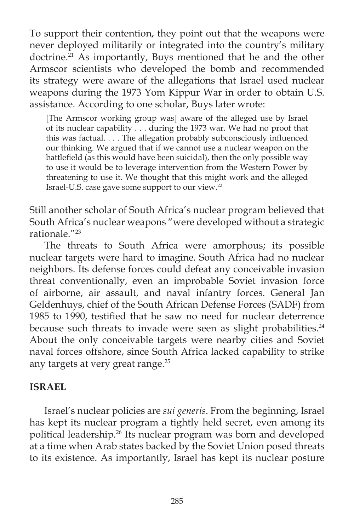To support their contention, they point out that the weapons were never deployed militarily or integrated into the country's military doctrine.<sup>21</sup> As importantly, Buys mentioned that he and the other Armscor scientists who developed the bomb and recommended its strategy were aware of the allegations that Israel used nuclear weapons during the 1973 Yom Kippur War in order to obtain U.S. assistance. According to one scholar, Buys later wrote:

[The Armscor working group was] aware of the alleged use by Israel of its nuclear capability . . . during the 1973 war. We had no proof that this was factual. . . . The allegation probably subconsciously influenced our thinking. We argued that if we cannot use a nuclear weapon on the battlefield (as this would have been suicidal), then the only possible way to use it would be to leverage intervention from the Western Power by threatening to use it. We thought that this might work and the alleged Israel-U.S. case gave some support to our view.22

Still another scholar of South Africa's nuclear program believed that South Africa's nuclear weapons "were developed without a strategic rationale."23

 The threats to South Africa were amorphous; its possible nuclear targets were hard to imagine. South Africa had no nuclear neighbors. Its defense forces could defeat any conceivable invasion threat conventionally, even an improbable Soviet invasion force of airborne, air assault, and naval infantry forces. General Jan Geldenhuys, chief of the South African Defense Forces (SADF) from 1985 to 1990, testified that he saw no need for nuclear deterrence because such threats to invade were seen as slight probabilities.<sup>24</sup> About the only conceivable targets were nearby cities and Soviet naval forces offshore, since South Africa lacked capability to strike any targets at very great range.<sup>25</sup>

### **ISRAEL**

 Israel's nuclear policies are *sui generis*. From the beginning, Israel has kept its nuclear program a tightly held secret, even among its political leadership.26 Its nuclear program was born and developed at a time when Arab states backed by the Soviet Union posed threats to its existence. As importantly, Israel has kept its nuclear posture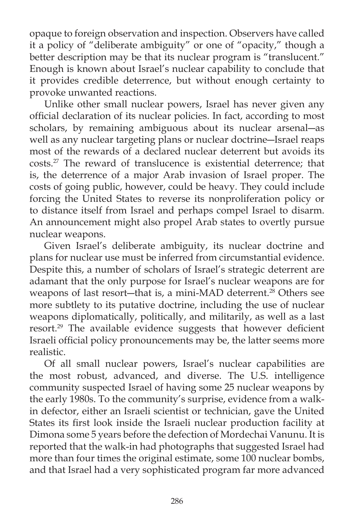opaque to foreign observation and inspection. Observers have called it a policy of "deliberate ambiguity" or one of "opacity," though a better description may be that its nuclear program is "translucent." Enough is known about Israel's nuclear capability to conclude that it provides credible deterrence, but without enough certainty to provoke unwanted reactions.

 Unlike other small nuclear powers, Israel has never given any official declaration of its nuclear policies. In fact, according to most scholars, by remaining ambiguous about its nuclear arsenal―as well as any nuclear targeting plans or nuclear doctrine―Israel reaps most of the rewards of a declared nuclear deterrent but avoids its costs.27 The reward of translucence is existential deterrence; that is, the deterrence of a major Arab invasion of Israel proper. The costs of going public, however, could be heavy. They could include forcing the United States to reverse its nonproliferation policy or to distance itself from Israel and perhaps compel Israel to disarm. An announcement might also propel Arab states to overtly pursue nuclear weapons.

 Given Israel's deliberate ambiguity, its nuclear doctrine and plans for nuclear use must be inferred from circumstantial evidence. Despite this, a number of scholars of Israel's strategic deterrent are adamant that the only purpose for Israel's nuclear weapons are for weapons of last resort—that is, a mini-MAD deterrent.<sup>28</sup> Others see more subtlety to its putative doctrine, including the use of nuclear weapons diplomatically, politically, and militarily, as well as a last resort.<sup>29</sup> The available evidence suggests that however deficient Israeli official policy pronouncements may be, the latter seems more realistic.

 Of all small nuclear powers, Israel's nuclear capabilities are the most robust, advanced, and diverse. The U.S. intelligence community suspected Israel of having some 25 nuclear weapons by the early 1980s. To the community's surprise, evidence from a walkin defector, either an Israeli scientist or technician, gave the United States its first look inside the Israeli nuclear production facility at Dimona some 5 years before the defection of Mordechai Vanunu. It is reported that the walk-in had photographs that suggested Israel had more than four times the original estimate, some 100 nuclear bombs, and that Israel had a very sophisticated program far more advanced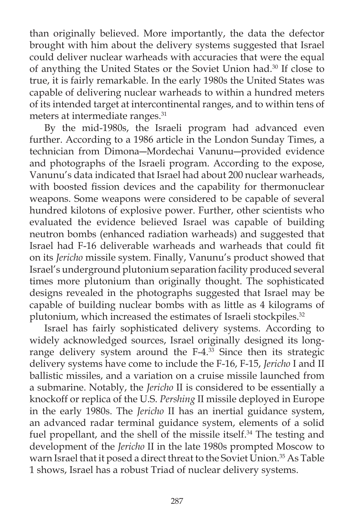than originally believed. More importantly, the data the defector brought with him about the delivery systems suggested that Israel could deliver nuclear warheads with accuracies that were the equal of anything the United States or the Soviet Union had.30 If close to true, it is fairly remarkable. In the early 1980s the United States was capable of delivering nuclear warheads to within a hundred meters of its intended target at intercontinental ranges, and to within tens of meters at intermediate ranges.31

 By the mid-1980s, the Israeli program had advanced even further. According to a 1986 article in the London Sunday Times, a technician from Dimona―Mordechai Vanunu―provided evidence and photographs of the Israeli program. According to the expose, Vanunu's data indicated that Israel had about 200 nuclear warheads, with boosted fission devices and the capability for thermonuclear weapons. Some weapons were considered to be capable of several hundred kilotons of explosive power. Further, other scientists who evaluated the evidence believed Israel was capable of building neutron bombs (enhanced radiation warheads) and suggested that Israel had F-16 deliverable warheads and warheads that could fit on its *Jericho* missile system. Finally, Vanunu's product showed that Israel's underground plutonium separation facility produced several times more plutonium than originally thought. The sophisticated designs revealed in the photographs suggested that Israel may be capable of building nuclear bombs with as little as 4 kilograms of plutonium, which increased the estimates of Israeli stockpiles.<sup>32</sup>

 Israel has fairly sophisticated delivery systems. According to widely acknowledged sources, Israel originally designed its longrange delivery system around the  $F-4.^{33}$  Since then its strategic delivery systems have come to include the F-16, F-15, *Jericho* I and II ballistic missiles, and a variation on a cruise missile launched from a submarine. Notably, the *Jericho* II is considered to be essentially a knockoff or replica of the U.S. *Pershing* II missile deployed in Europe in the early 1980s. The *Jericho* II has an inertial guidance system, an advanced radar terminal guidance system, elements of a solid fuel propellant, and the shell of the missile itself.<sup>34</sup> The testing and development of the *Jericho* II in the late 1980s prompted Moscow to warn Israel that it posed a direct threat to the Soviet Union.<sup>35</sup> As Table 1 shows, Israel has a robust Triad of nuclear delivery systems.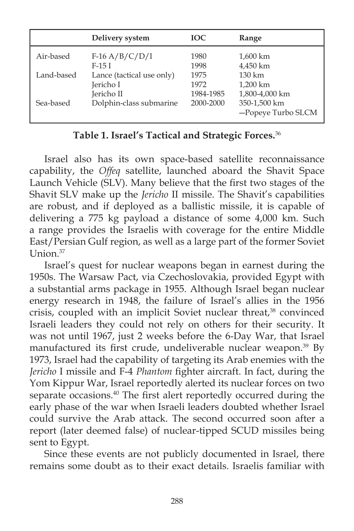|            | Delivery system           | <b>IOC</b> | Range                              |
|------------|---------------------------|------------|------------------------------------|
| Air-based  | $F-16 A/B/C/D/I$          | 1980       | 1,600 km                           |
|            | $F-15I$                   | 1998       | 4,450 km                           |
| Land-based | Lance (tactical use only) | 1975       | $130 \mathrm{km}$                  |
|            | Jericho I                 | 1972       | 1,200 km                           |
|            | Jericho II                | 1984-1985  | 1,800-4,000 km                     |
| Sea-based  | Dolphin-class submarine   | 2000-2000  | 350-1,500 km<br>-Popeye Turbo SLCM |

## **Table 1. Israel's Tactical and Strategic Forces.**<sup>36</sup>

 Israel also has its own space-based satellite reconnaissance capability, the *Offeq* satellite, launched aboard the Shavit Space Launch Vehicle (SLV). Many believe that the first two stages of the Shavit SLV make up the *Jericho* II missile. The Shavit's capabilities are robust, and if deployed as a ballistic missile, it is capable of delivering a 775 kg payload a distance of some 4,000 km. Such a range provides the Israelis with coverage for the entire Middle East/Persian Gulf region, as well as a large part of the former Soviet Union $37$ 

 Israel's quest for nuclear weapons began in earnest during the 1950s. The Warsaw Pact, via Czechoslovakia, provided Egypt with a substantial arms package in 1955. Although Israel began nuclear energy research in 1948, the failure of Israel's allies in the 1956 crisis, coupled with an implicit Soviet nuclear threat,<sup>38</sup> convinced Israeli leaders they could not rely on others for their security. It was not until 1967, just 2 weeks before the 6-Day War, that Israel manufactured its first crude, undeliverable nuclear weapon.<sup>39</sup> By 1973, Israel had the capability of targeting its Arab enemies with the *Jericho* I missile and F-4 *Phantom* fighter aircraft. In fact, during the Yom Kippur War, Israel reportedly alerted its nuclear forces on two separate occasions.<sup>40</sup> The first alert reportedly occurred during the early phase of the war when Israeli leaders doubted whether Israel could survive the Arab attack. The second occurred soon after a report (later deemed false) of nuclear-tipped SCUD missiles being sent to Egypt.

 Since these events are not publicly documented in Israel, there remains some doubt as to their exact details. Israelis familiar with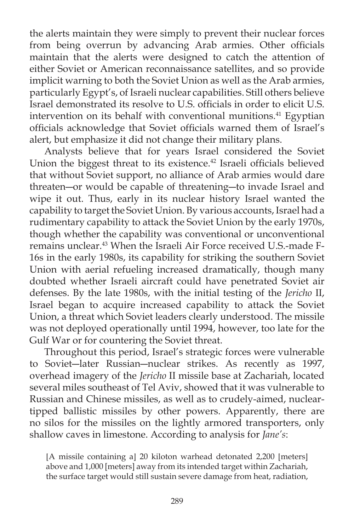the alerts maintain they were simply to prevent their nuclear forces from being overrun by advancing Arab armies. Other officials maintain that the alerts were designed to catch the attention of either Soviet or American reconnaissance satellites, and so provide implicit warning to both the Soviet Union as well as the Arab armies, particularly Egypt's, of Israeli nuclear capabilities. Still others believe Israel demonstrated its resolve to U.S. officials in order to elicit U.S. intervention on its behalf with conventional munitions.<sup>41</sup> Egyptian officials acknowledge that Soviet officials warned them of Israel's alert, but emphasize it did not change their military plans.

 Analysts believe that for years Israel considered the Soviet Union the biggest threat to its existence.<sup>42</sup> Israeli officials believed that without Soviet support, no alliance of Arab armies would dare threaten―or would be capable of threatening―to invade Israel and wipe it out. Thus, early in its nuclear history Israel wanted the capability to target the Soviet Union. By various accounts, Israel had a rudimentary capability to attack the Soviet Union by the early 1970s, though whether the capability was conventional or unconventional remains unclear.43 When the Israeli Air Force received U.S.-made F-16s in the early 1980s, its capability for striking the southern Soviet Union with aerial refueling increased dramatically, though many doubted whether Israeli aircraft could have penetrated Soviet air defenses. By the late 1980s, with the initial testing of the *Jericho* II, Israel began to acquire increased capability to attack the Soviet Union, a threat which Soviet leaders clearly understood. The missile was not deployed operationally until 1994, however, too late for the Gulf War or for countering the Soviet threat.

 Throughout this period, Israel's strategic forces were vulnerable to Soviet―later Russian―nuclear strikes. As recently as 1997, overhead imagery of the *Jericho* II missile base at Zachariah, located several miles southeast of Tel Aviv, showed that it was vulnerable to Russian and Chinese missiles, as well as to crudely-aimed, nucleartipped ballistic missiles by other powers. Apparently, there are no silos for the missiles on the lightly armored transporters, only shallow caves in limestone. According to analysis for *Jane's*:

[A missile containing a] 20 kiloton warhead detonated 2,200 [meters] above and 1,000 [meters] away from its intended target within Zachariah, the surface target would still sustain severe damage from heat, radiation,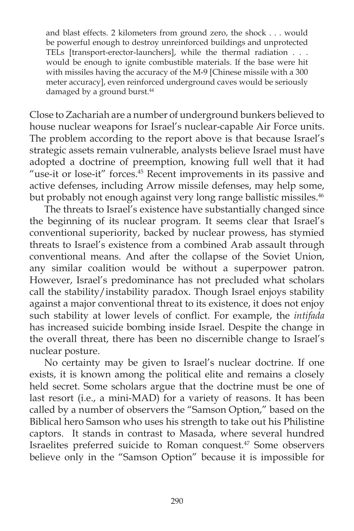and blast effects. 2 kilometers from ground zero, the shock . . . would be powerful enough to destroy unreinforced buildings and unprotected TELs [transport-erector-launchers], while the thermal radiation . . . would be enough to ignite combustible materials. If the base were hit with missiles having the accuracy of the M-9 [Chinese missile with a 300 meter accuracy], even reinforced underground caves would be seriously damaged by a ground burst.<sup>44</sup>

Close to Zachariah are a number of underground bunkers believed to house nuclear weapons for Israel's nuclear-capable Air Force units. The problem according to the report above is that because Israel's strategic assets remain vulnerable, analysts believe Israel must have adopted a doctrine of preemption, knowing full well that it had "use-it or lose-it" forces.45 Recent improvements in its passive and active defenses, including Arrow missile defenses, may help some, but probably not enough against very long range ballistic missiles.<sup>46</sup>

 The threats to Israel's existence have substantially changed since the beginning of its nuclear program. It seems clear that Israel's conventional superiority, backed by nuclear prowess, has stymied threats to Israel's existence from a combined Arab assault through conventional means. And after the collapse of the Soviet Union, any similar coalition would be without a superpower patron. However, Israel's predominance has not precluded what scholars call the stability/instability paradox. Though Israel enjoys stability against a major conventional threat to its existence, it does not enjoy such stability at lower levels of conflict. For example, the *intifada* has increased suicide bombing inside Israel. Despite the change in the overall threat, there has been no discernible change to Israel's nuclear posture.

 No certainty may be given to Israel's nuclear doctrine. If one exists, it is known among the political elite and remains a closely held secret. Some scholars argue that the doctrine must be one of last resort (i.e., a mini-MAD) for a variety of reasons. It has been called by a number of observers the "Samson Option," based on the Biblical hero Samson who uses his strength to take out his Philistine captors. It stands in contrast to Masada, where several hundred Israelites preferred suicide to Roman conquest.47 Some observers believe only in the "Samson Option" because it is impossible for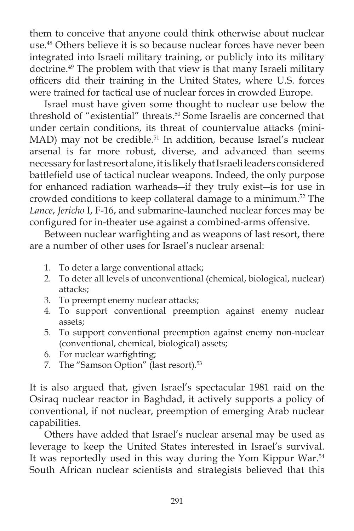them to conceive that anyone could think otherwise about nuclear use.<sup>48</sup> Others believe it is so because nuclear forces have never been integrated into Israeli military training, or publicly into its military doctrine.49 The problem with that view is that many Israeli military officers did their training in the United States, where U.S. forces were trained for tactical use of nuclear forces in crowded Europe.

 Israel must have given some thought to nuclear use below the threshold of "existential" threats.<sup>50</sup> Some Israelis are concerned that under certain conditions, its threat of countervalue attacks (mini-MAD) may not be credible.<sup>51</sup> In addition, because Israel's nuclear arsenal is far more robust, diverse, and advanced than seems necessary for last resort alone, it is likely that Israeli leaders considered battlefield use of tactical nuclear weapons. Indeed, the only purpose for enhanced radiation warheads―if they truly exist―is for use in crowded conditions to keep collateral damage to a minimum.<sup>52</sup> The *Lance*, *Jericho* I, F-16, and submarine-launched nuclear forces may be configured for in-theater use against a combined-arms offensive.

Between nuclear warfighting and as weapons of last resort, there are a number of other uses for Israel's nuclear arsenal:

- 1. To deter a large conventional attack;
- 2. To deter all levels of unconventional (chemical, biological, nuclear) attacks;
- 3. To preempt enemy nuclear attacks;
- 4. To support conventional preemption against enemy nuclear assets;
- 5. To support conventional preemption against enemy non-nuclear (conventional, chemical, biological) assets;
- 6. For nuclear warfighting;
- 7. The "Samson Option" (last resort).<sup>53</sup>

It is also argued that, given Israel's spectacular 1981 raid on the Osiraq nuclear reactor in Baghdad, it actively supports a policy of conventional, if not nuclear, preemption of emerging Arab nuclear capabilities.

 Others have added that Israel's nuclear arsenal may be used as leverage to keep the United States interested in Israel's survival. It was reportedly used in this way during the Yom Kippur War.<sup>54</sup> South African nuclear scientists and strategists believed that this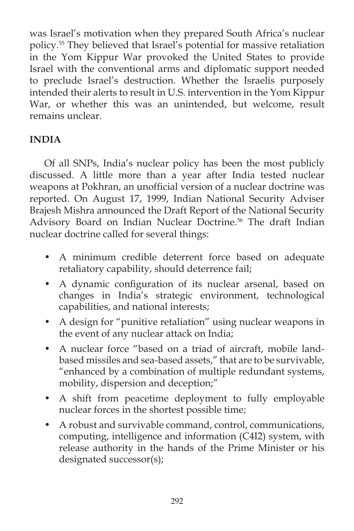was Israel's motivation when they prepared South Africa's nuclear policy.55 They believed that Israel's potential for massive retaliation in the Yom Kippur War provoked the United States to provide Israel with the conventional arms and diplomatic support needed to preclude Israel's destruction. Whether the Israelis purposely intended their alerts to result in U.S. intervention in the Yom Kippur War, or whether this was an unintended, but welcome, result remains unclear.

# **INDIA**

 Of all SNPs, India's nuclear policy has been the most publicly discussed. A little more than a year after India tested nuclear weapons at Pokhran, an unofficial version of a nuclear doctrine was reported. On August 17, 1999, Indian National Security Adviser Brajesh Mishra announced the Draft Report of the National Security Advisory Board on Indian Nuclear Doctrine.<sup>56</sup> The draft Indian nuclear doctrine called for several things:

- A minimum credible deterrent force based on adequate retaliatory capability, should deterrence fail;
- A dynamic configuration of its nuclear arsenal, based on changes in India's strategic environment, technological capabilities, and national interests;
- A design for "punitive retaliation" using nuclear weapons in the event of any nuclear attack on India;
- A nuclear force "based on a triad of aircraft, mobile landbased missiles and sea-based assets," that are to be survivable, "enhanced by a combination of multiple redundant systems, mobility, dispersion and deception;"
- A shift from peacetime deployment to fully employable nuclear forces in the shortest possible time;
- A robust and survivable command, control, communications, computing, intelligence and information (C4I2) system, with release authority in the hands of the Prime Minister or his designated successor(s);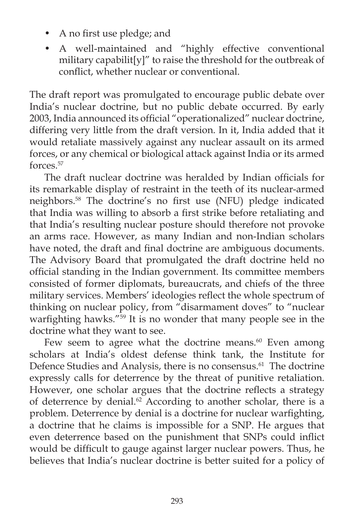- A no first use pledge; and
- A well-maintained and "highly effective conventional military capabilit[y]" to raise the threshold for the outbreak of conflict, whether nuclear or conventional.

The draft report was promulgated to encourage public debate over India's nuclear doctrine, but no public debate occurred. By early 2003, India announced its official "operationalized" nuclear doctrine, differing very little from the draft version. In it, India added that it would retaliate massively against any nuclear assault on its armed forces, or any chemical or biological attack against India or its armed forces.57

The draft nuclear doctrine was heralded by Indian officials for its remarkable display of restraint in the teeth of its nuclear-armed neighbors.<sup>58</sup> The doctrine's no first use (NFU) pledge indicated that India was willing to absorb a first strike before retaliating and that India's resulting nuclear posture should therefore not provoke an arms race. However, as many Indian and non-Indian scholars have noted, the draft and final doctrine are ambiguous documents. The Advisory Board that promulgated the draft doctrine held no official standing in the Indian government. Its committee members consisted of former diplomats, bureaucrats, and chiefs of the three military services. Members' ideologies reflect the whole spectrum of thinking on nuclear policy, from "disarmament doves" to "nuclear warfighting hawks."<sup>59</sup> It is no wonder that many people see in the doctrine what they want to see.

Few seem to agree what the doctrine means. $60$  Even among scholars at India's oldest defense think tank, the Institute for Defence Studies and Analysis, there is no consensus.<sup>61</sup> The doctrine expressly calls for deterrence by the threat of punitive retaliation. However, one scholar argues that the doctrine reflects a strategy of deterrence by denial.<sup>62</sup> According to another scholar, there is a problem. Deterrence by denial is a doctrine for nuclear warfighting, a doctrine that he claims is impossible for a SNP. He argues that even deterrence based on the punishment that SNPs could inflict would be difficult to gauge against larger nuclear powers. Thus, he believes that India's nuclear doctrine is better suited for a policy of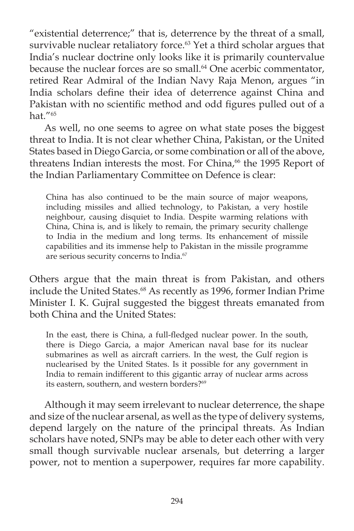"existential deterrence;" that is, deterrence by the threat of a small, survivable nuclear retaliatory force.<sup>63</sup> Yet a third scholar argues that India's nuclear doctrine only looks like it is primarily countervalue because the nuclear forces are so small.<sup>64</sup> One acerbic commentator, retired Rear Admiral of the Indian Navy Raja Menon, argues "in India scholars define their idea of deterrence against China and Pakistan with no scientific method and odd figures pulled out of a hat."65

 As well, no one seems to agree on what state poses the biggest threat to India. It is not clear whether China, Pakistan, or the United States based in Diego Garcia, or some combination or all of the above, threatens Indian interests the most. For China,<sup>66</sup> the 1995 Report of the Indian Parliamentary Committee on Defence is clear:

China has also continued to be the main source of major weapons, including missiles and allied technology, to Pakistan, a very hostile neighbour, causing disquiet to India. Despite warming relations with China, China is, and is likely to remain, the primary security challenge to India in the medium and long terms. Its enhancement of missile capabilities and its immense help to Pakistan in the missile programme are serious security concerns to India.<sup>67</sup>

Others argue that the main threat is from Pakistan, and others include the United States.<sup>68</sup> As recently as 1996, former Indian Prime Minister I. K. Gujral suggested the biggest threats emanated from both China and the United States:

In the east, there is China, a full-fledged nuclear power. In the south, there is Diego Garcia, a major American naval base for its nuclear submarines as well as aircraft carriers. In the west, the Gulf region is nuclearised by the United States. Is it possible for any government in India to remain indifferent to this gigantic array of nuclear arms across its eastern, southern, and western borders?<sup>69</sup>

Although it may seem irrelevant to nuclear deterrence, the shape and size of the nuclear arsenal, as well as the type of delivery systems, depend largely on the nature of the principal threats. As Indian scholars have noted, SNPs may be able to deter each other with very small though survivable nuclear arsenals, but deterring a larger power, not to mention a superpower, requires far more capability.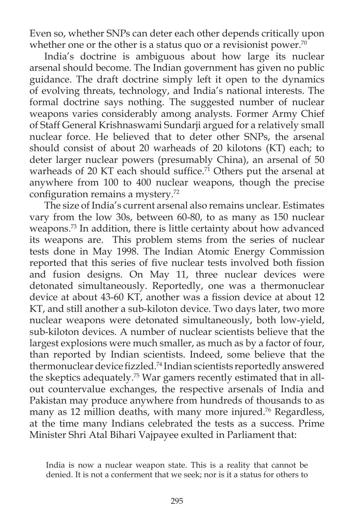Even so, whether SNPs can deter each other depends critically upon whether one or the other is a status quo or a revisionist power.<sup>70</sup>

India's doctrine is ambiguous about how large its nuclear arsenal should become. The Indian government has given no public guidance. The draft doctrine simply left it open to the dynamics of evolving threats, technology, and India's national interests. The formal doctrine says nothing. The suggested number of nuclear weapons varies considerably among analysts. Former Army Chief of Staff General Krishnaswami Sundarji argued for a relatively small nuclear force. He believed that to deter other SNPs, the arsenal should consist of about 20 warheads of 20 kilotons (KT) each; to deter larger nuclear powers (presumably China), an arsenal of 50 warheads of 20 KT each should suffice.<sup>71</sup> Others put the arsenal at anywhere from 100 to 400 nuclear weapons, though the precise configuration remains a mystery. $72$ 

The size of India's current arsenal also remains unclear. Estimates vary from the low 30s, between 60-80, to as many as 150 nuclear weapons.73 In addition, there is little certainty about how advanced its weapons are. This problem stems from the series of nuclear tests done in May 1998. The Indian Atomic Energy Commission reported that this series of five nuclear tests involved both fission and fusion designs. On May 11, three nuclear devices were detonated simultaneously. Reportedly, one was a thermonuclear device at about 43-60 KT, another was a fission device at about 12 KT, and still another a sub-kiloton device. Two days later, two more nuclear weapons were detonated simultaneously, both low-yield, sub-kiloton devices. A number of nuclear scientists believe that the largest explosions were much smaller, as much as by a factor of four, than reported by Indian scientists. Indeed, some believe that the thermonuclear device fizzled.<sup>74</sup> Indian scientists reportedly answered the skeptics adequately.75 War gamers recently estimated that in allout countervalue exchanges, the respective arsenals of India and Pakistan may produce anywhere from hundreds of thousands to as many as 12 million deaths, with many more injured.76 Regardless, at the time many Indians celebrated the tests as a success. Prime Minister Shri Atal Bihari Vajpayee exulted in Parliament that:

India is now a nuclear weapon state. This is a reality that cannot be denied. It is not a conferment that we seek; nor is it a status for others to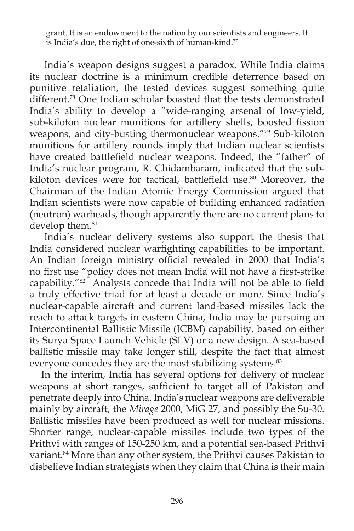grant. It is an endowment to the nation by our scientists and engineers. It is India's due, the right of one-sixth of human-kind.<sup>77</sup>

India's weapon designs suggest a paradox. While India claims its nuclear doctrine is a minimum credible deterrence based on punitive retaliation, the tested devices suggest something quite different.<sup>78</sup> One Indian scholar boasted that the tests demonstrated India's ability to develop a "wide-ranging arsenal of low-yield, sub-kiloton nuclear munitions for artillery shells, boosted fission weapons, and city-busting thermonuclear weapons."79 Sub-kiloton munitions for artillery rounds imply that Indian nuclear scientists have created battlefield nuclear weapons. Indeed, the "father" of India's nuclear program, R. Chidambaram, indicated that the subkiloton devices were for tactical, battlefield use.<sup>80</sup> Moreover, the Chairman of the Indian Atomic Energy Commission argued that Indian scientists were now capable of building enhanced radiation (neutron) warheads, though apparently there are no current plans to develop them.<sup>81</sup>

India's nuclear delivery systems also support the thesis that India considered nuclear warfighting capabilities to be important. An Indian foreign ministry official revealed in 2000 that India's no first use "policy does not mean India will not have a first-strike capability."<sup>82</sup> Analysts concede that India will not be able to field a truly effective triad for at least a decade or more. Since India's nuclear-capable aircraft and current land-based missiles lack the reach to attack targets in eastern China, India may be pursuing an Intercontinental Ballistic Missile (ICBM) capability, based on either its Surya Space Launch Vehicle (SLV) or a new design. A sea-based ballistic missile may take longer still, despite the fact that almost everyone concedes they are the most stabilizing systems.<sup>83</sup>

In the interim, India has several options for delivery of nuclear weapons at short ranges, sufficient to target all of Pakistan and penetrate deeply into China. India's nuclear weapons are deliverable mainly by aircraft, the *Mirage* 2000, MiG 27, and possibly the Su-30. Ballistic missiles have been produced as well for nuclear missions. Shorter range, nuclear-capable missiles include two types of the Prithvi with ranges of 150-250 km, and a potential sea-based Prithvi variant.<sup>84</sup> More than any other system, the Prithvi causes Pakistan to disbelieve Indian strategists when they claim that China is their main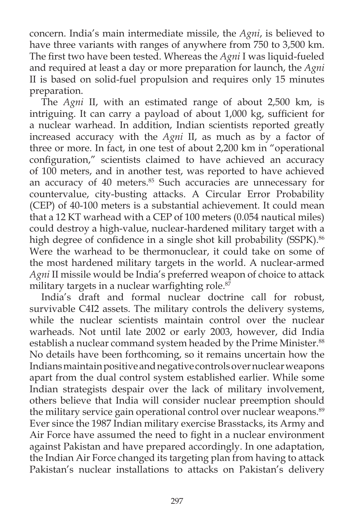concern. India's main intermediate missile, the *Agni*, is believed to have three variants with ranges of anywhere from 750 to 3,500 km. The first two have been tested. Whereas the *Agni* I was liquid-fueled and required at least a day or more preparation for launch, the *Agni* II is based on solid-fuel propulsion and requires only 15 minutes preparation.

The *Agni* II, with an estimated range of about 2,500 km, is intriguing. It can carry a payload of about 1,000 kg, sufficient for a nuclear warhead. In addition, Indian scientists reported greatly increased accuracy with the *Agni* II, as much as by a factor of three or more. In fact, in one test of about 2,200 km in "operational configuration," scientists claimed to have achieved an accuracy of 100 meters, and in another test, was reported to have achieved an accuracy of 40 meters.<sup>85</sup> Such accuracies are unnecessary for countervalue, city-busting attacks. A Circular Error Probability (CEP) of 40-100 meters is a substantial achievement. It could mean that a 12 KT warhead with a CEP of 100 meters (0.054 nautical miles) could destroy a high-value, nuclear-hardened military target with a high degree of confidence in a single shot kill probability (SSPK).<sup>86</sup> Were the warhead to be thermonuclear, it could take on some of the most hardened military targets in the world. A nuclear-armed *Agni* II missile would be India's preferred weapon of choice to attack military targets in a nuclear warfighting role. $8\overline{7}$ 

India's draft and formal nuclear doctrine call for robust, survivable C4I2 assets. The military controls the delivery systems, while the nuclear scientists maintain control over the nuclear warheads. Not until late 2002 or early 2003, however, did India establish a nuclear command system headed by the Prime Minister.<sup>88</sup> No details have been forthcoming, so it remains uncertain how the Indians maintain positive and negative controls over nuclear weapons apart from the dual control system established earlier. While some Indian strategists despair over the lack of military involvement, others believe that India will consider nuclear preemption should the military service gain operational control over nuclear weapons.<sup>89</sup> Ever since the 1987 Indian military exercise Brasstacks, its Army and Air Force have assumed the need to fight in a nuclear environment against Pakistan and have prepared accordingly. In one adaptation, the Indian Air Force changed its targeting plan from having to attack Pakistan's nuclear installations to attacks on Pakistan's delivery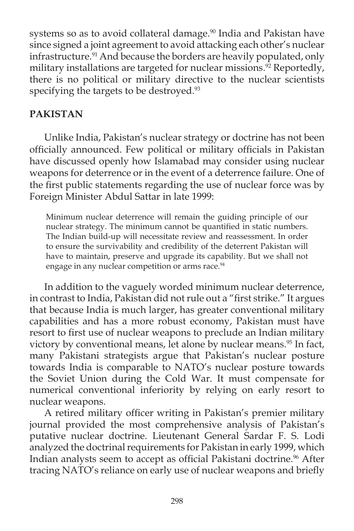systems so as to avoid collateral damage.<sup>90</sup> India and Pakistan have since signed a joint agreement to avoid attacking each other's nuclear infrastructure.<sup>91</sup> And because the borders are heavily populated, only military installations are targeted for nuclear missions.<sup>92</sup> Reportedly, there is no political or military directive to the nuclear scientists specifying the targets to be destroyed.<sup>93</sup>

# **PAKISTAN**

 Unlike India, Pakistan's nuclear strategy or doctrine has not been officially announced. Few political or military officials in Pakistan have discussed openly how Islamabad may consider using nuclear weapons for deterrence or in the event of a deterrence failure. One of the first public statements regarding the use of nuclear force was by Foreign Minister Abdul Sattar in late 1999:

Minimum nuclear deterrence will remain the guiding principle of our nuclear strategy. The minimum cannot be quantified in static numbers. The Indian build-up will necessitate review and reassessment. In order to ensure the survivability and credibility of the deterrent Pakistan will have to maintain, preserve and upgrade its capability. But we shall not engage in any nuclear competition or arms race.<sup>94</sup>

In addition to the vaguely worded minimum nuclear deterrence, in contrast to India, Pakistan did not rule out a "first strike." It argues that because India is much larger, has greater conventional military capabilities and has a more robust economy, Pakistan must have resort to first use of nuclear weapons to preclude an Indian military victory by conventional means, let alone by nuclear means.<sup>95</sup> In fact, many Pakistani strategists argue that Pakistan's nuclear posture towards India is comparable to NATO's nuclear posture towards the Soviet Union during the Cold War. It must compensate for numerical conventional inferiority by relying on early resort to nuclear weapons.

A retired military officer writing in Pakistan's premier military journal provided the most comprehensive analysis of Pakistan's putative nuclear doctrine. Lieutenant General Sardar F. S. Lodi analyzed the doctrinal requirements for Pakistan in early 1999, which Indian analysts seem to accept as official Pakistani doctrine.<sup>96</sup> After tracing NATO's reliance on early use of nuclear weapons and briefly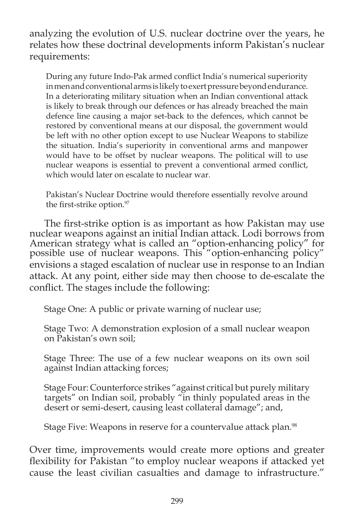analyzing the evolution of U.S. nuclear doctrine over the years, he relates how these doctrinal developments inform Pakistan's nuclear requirements:

During any future Indo-Pak armed conflict India's numerical superiority in men and conventional arms is likely to exert pressure beyond endurance. In a deteriorating military situation when an Indian conventional attack is likely to break through our defences or has already breached the main defence line causing a major set-back to the defences, which cannot be restored by conventional means at our disposal, the government would be left with no other option except to use Nuclear Weapons to stabilize the situation. India's superiority in conventional arms and manpower would have to be offset by nuclear weapons. The political will to use nuclear weapons is essential to prevent a conventional armed conflict, which would later on escalate to nuclear war.

Pakistan's Nuclear Doctrine would therefore essentially revolve around the first-strike option.<sup>97</sup>

The first-strike option is as important as how Pakistan may use nuclear weapons against an initial Indian attack. Lodi borrows from American strategy what is called an "option-enhancing policy" for possible use of nuclear weapons. This "option-enhancing policy" envisions a staged escalation of nuclear use in response to an Indian attack. At any point, either side may then choose to de-escalate the conflict. The stages include the following:

Stage One: A public or private warning of nuclear use;

Stage Two: A demonstration explosion of a small nuclear weapon on Pakistan's own soil;

Stage Three: The use of a few nuclear weapons on its own soil against Indian attacking forces;

Stage Four: Counterforce strikes "against critical but purely military targets" on Indian soil, probably "in thinly populated areas in the desert or semi-desert, causing least collateral damage"; and,

Stage Five: Weapons in reserve for a countervalue attack plan.<sup>98</sup>

Over time, improvements would create more options and greater flexibility for Pakistan "to employ nuclear weapons if attacked yet cause the least civilian casualties and damage to infrastructure."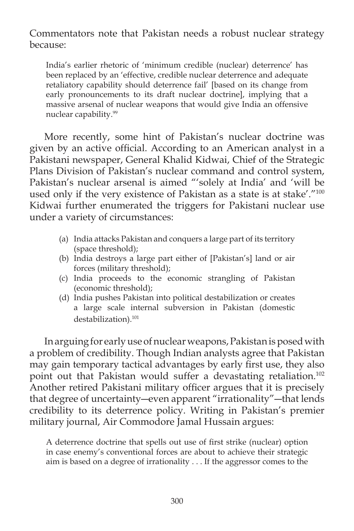Commentators note that Pakistan needs a robust nuclear strategy because:

India's earlier rhetoric of 'minimum credible (nuclear) deterrence' has been replaced by an 'effective, credible nuclear deterrence and adequate retaliatory capability should deterrence fail' [based on its change from early pronouncements to its draft nuclear doctrine], implying that a massive arsenal of nuclear weapons that would give India an offensive nuclear capability.<sup>99</sup>

More recently, some hint of Pakistan's nuclear doctrine was given by an active official. According to an American analyst in a Pakistani newspaper, General Khalid Kidwai, Chief of the Strategic Plans Division of Pakistan's nuclear command and control system, Pakistan's nuclear arsenal is aimed "'solely at India' and 'will be used only if the very existence of Pakistan as a state is at stake'."<sup>100</sup> Kidwai further enumerated the triggers for Pakistani nuclear use under a variety of circumstances:

- (a) India attacks Pakistan and conquers a large part of its territory (space threshold);
- (b) India destroys a large part either of [Pakistan's] land or air forces (military threshold);
- (c) India proceeds to the economic strangling of Pakistan (economic threshold);
- (d) India pushes Pakistan into political destabilization or creates a large scale internal subversion in Pakistan (domestic destabilization).<sup>101</sup>

In arguing for early use of nuclear weapons, Pakistan is posed with a problem of credibility. Though Indian analysts agree that Pakistan may gain temporary tactical advantages by early first use, they also point out that Pakistan would suffer a devastating retaliation.<sup>102</sup> Another retired Pakistani military officer argues that it is precisely that degree of uncertainty―even apparent "irrationality"―that lends credibility to its deterrence policy. Writing in Pakistan's premier military journal, Air Commodore Jamal Hussain argues:

A deterrence doctrine that spells out use of first strike (nuclear) option in case enemy's conventional forces are about to achieve their strategic aim is based on a degree of irrationality . . . If the aggressor comes to the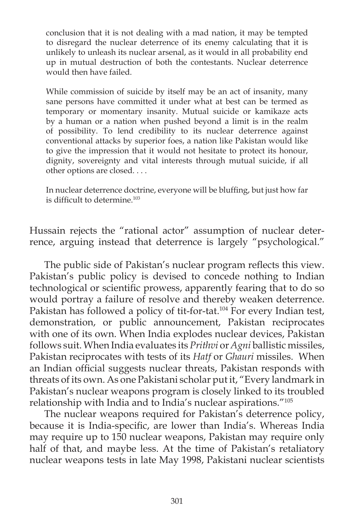conclusion that it is not dealing with a mad nation, it may be tempted to disregard the nuclear deterrence of its enemy calculating that it is unlikely to unleash its nuclear arsenal, as it would in all probability end up in mutual destruction of both the contestants. Nuclear deterrence would then have failed.

While commission of suicide by itself may be an act of insanity, many sane persons have committed it under what at best can be termed as temporary or momentary insanity. Mutual suicide or kamikaze acts by a human or a nation when pushed beyond a limit is in the realm of possibility. To lend credibility to its nuclear deterrence against conventional attacks by superior foes, a nation like Pakistan would like to give the impression that it would not hesitate to protect its honour, dignity, sovereignty and vital interests through mutual suicide, if all other options are closed. . . .

In nuclear deterrence doctrine, everyone will be bluffing, but just how far is difficult to determine.<sup>103</sup>

Hussain rejects the "rational actor" assumption of nuclear deterrence, arguing instead that deterrence is largely "psychological."

The public side of Pakistan's nuclear program reflects this view. Pakistan's public policy is devised to concede nothing to Indian technological or scientific prowess, apparently fearing that to do so would portray a failure of resolve and thereby weaken deterrence. Pakistan has followed a policy of tit-for-tat.<sup>104</sup> For every Indian test, demonstration, or public announcement, Pakistan reciprocates with one of its own. When India explodes nuclear devices, Pakistan follows suit. When India evaluates its *Prithvi* or *Agni* ballistic missiles, Pakistan reciprocates with tests of its *Hatfior Ghauri* missiles. When an Indian official suggests nuclear threats, Pakistan responds with threats of its own. As one Pakistani scholar put it, "Every landmark in Pakistan's nuclear weapons program is closely linked to its troubled relationship with India and to India's nuclear aspirations."105

The nuclear weapons required for Pakistan's deterrence policy, because it is India-specific, are lower than India's. Whereas India may require up to 150 nuclear weapons, Pakistan may require only half of that, and maybe less. At the time of Pakistan's retaliatory nuclear weapons tests in late May 1998, Pakistani nuclear scientists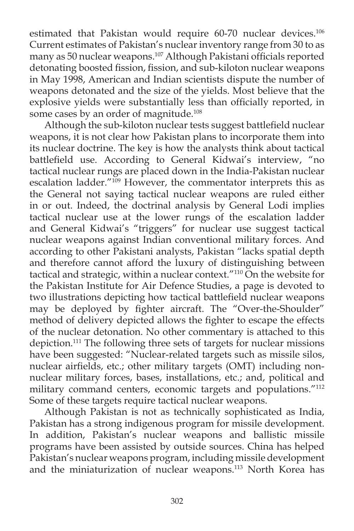estimated that Pakistan would require 60-70 nuclear devices.<sup>106</sup> Current estimates of Pakistan's nuclear inventory range from 30 to as many as 50 nuclear weapons.<sup>107</sup> Although Pakistani officials reported detonating boosted fission, fission, and sub-kiloton nuclear weapons in May 1998, American and Indian scientists dispute the number of weapons detonated and the size of the yields. Most believe that the explosive yields were substantially less than officially reported, in some cases by an order of magnitude.<sup>108</sup>

Although the sub-kiloton nuclear tests suggest battlefield nuclear weapons, it is not clear how Pakistan plans to incorporate them into its nuclear doctrine. The key is how the analysts think about tactical battlefield use. According to General Kidwai's interview, "no tactical nuclear rungs are placed down in the India-Pakistan nuclear escalation ladder.<sup>"109</sup> However, the commentator interprets this as the General not saying tactical nuclear weapons are ruled either in or out. Indeed, the doctrinal analysis by General Lodi implies tactical nuclear use at the lower rungs of the escalation ladder and General Kidwai's "triggers" for nuclear use suggest tactical nuclear weapons against Indian conventional military forces. And according to other Pakistani analysts, Pakistan "lacks spatial depth and therefore cannot afford the luxury of distinguishing between tactical and strategic, within a nuclear context."<sup>110</sup> On the website for the Pakistan Institute for Air Defence Studies, a page is devoted to two illustrations depicting how tactical battlefield nuclear weapons may be deployed by fighter aircraft. The "Over-the-Shoulder" method of delivery depicted allows the fighter to escape the effects of the nuclear detonation. No other commentary is attached to this depiction.111 The following three sets of targets for nuclear missions have been suggested: "Nuclear-related targets such as missile silos, nuclear airfields, etc.; other military targets (OMT) including nonnuclear military forces, bases, installations, etc.; and, political and military command centers, economic targets and populations."112 Some of these targets require tactical nuclear weapons.

Although Pakistan is not as technically sophisticated as India, Pakistan has a strong indigenous program for missile development. In addition, Pakistan's nuclear weapons and ballistic missile programs have been assisted by outside sources. China has helped Pakistan's nuclear weapons program, including missile development and the miniaturization of nuclear weapons.113 North Korea has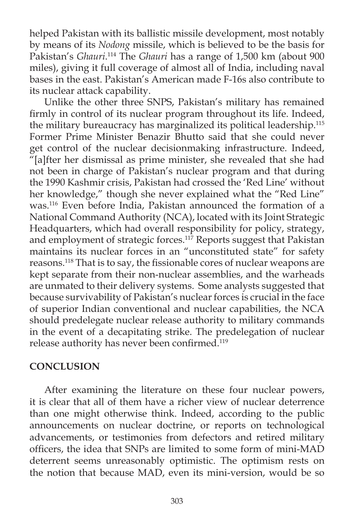helped Pakistan with its ballistic missile development, most notably by means of its *Nodong* missile, which is believed to be the basis for Pakistan's *Ghauri*. 114 The *Ghauri* has a range of 1,500 km (about 900 miles), giving it full coverage of almost all of India, including naval bases in the east. Pakistan's American made F-16s also contribute to its nuclear attack capability.

Unlike the other three SNPS, Pakistan's military has remained firmly in control of its nuclear program throughout its life. Indeed, the military bureaucracy has marginalized its political leadership.115 Former Prime Minister Benazir Bhutto said that she could never get control of the nuclear decisionmaking infrastructure. Indeed, "[a]fter her dismissal as prime minister, she revealed that she had not been in charge of Pakistan's nuclear program and that during the 1990 Kashmir crisis, Pakistan had crossed the 'Red Line' without her knowledge," though she never explained what the "Red Line" was.116 Even before India, Pakistan announced the formation of a National Command Authority (NCA), located with its Joint Strategic Headquarters, which had overall responsibility for policy, strategy, and employment of strategic forces.<sup>117</sup> Reports suggest that Pakistan maintains its nuclear forces in an "unconstituted state" for safety reasons.<sup>118</sup> That is to say, the fissionable cores of nuclear weapons are kept separate from their non-nuclear assemblies, and the warheads are unmated to their delivery systems. Some analysts suggested that because survivability of Pakistan's nuclear forces is crucial in the face of superior Indian conventional and nuclear capabilities, the NCA should predelegate nuclear release authority to military commands in the event of a decapitating strike. The predelegation of nuclear release authority has never been confirmed.<sup>119</sup>

## **CONCLUSION**

 After examining the literature on these four nuclear powers, it is clear that all of them have a richer view of nuclear deterrence than one might otherwise think. Indeed, according to the public announcements on nuclear doctrine, or reports on technological advancements, or testimonies from defectors and retired military officers, the idea that SNPs are limited to some form of mini-MAD deterrent seems unreasonably optimistic. The optimism rests on the notion that because MAD, even its mini-version, would be so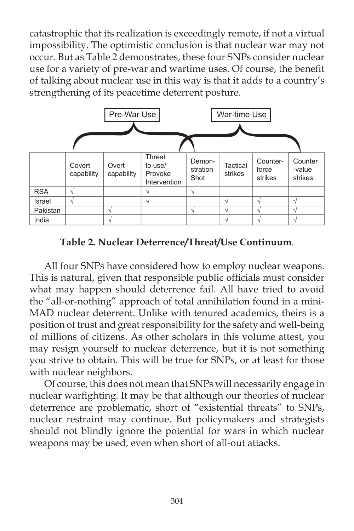catastrophic that its realization is exceedingly remote, if not a virtual impossibility. The optimistic conclusion is that nuclear war may not occur. But as Table 2 demonstrates, these four SNPs consider nuclear use for a variety of pre-war and wartime uses. Of course, the benefit of talking about nuclear use in this way is that it adds to a country's strengthening of its peacetime deterrent posture.



**Table 2. Nuclear Deterrence/Threat/Use Continuum**.

 All four SNPs have considered how to employ nuclear weapons. This is natural, given that responsible public officials must consider what may happen should deterrence fail. All have tried to avoid the "all-or-nothing" approach of total annihilation found in a mini-MAD nuclear deterrent. Unlike with tenured academics, theirs is a position of trust and great responsibility for the safety and well-being of millions of citizens. As other scholars in this volume attest, you may resign yourself to nuclear deterrence, but it is not something you strive to obtain. This will be true for SNPs, or at least for those with nuclear neighbors.

Of course, this does not mean that SNPs will necessarily engage in nuclear warfighting. It may be that although our theories of nuclear deterrence are problematic, short of "existential threats" to SNPs, nuclear restraint may continue. But policymakers and strategists should not blindly ignore the potential for wars in which nuclear weapons may be used, even when short of all-out attacks.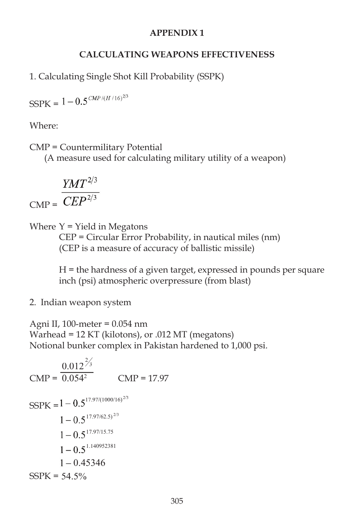### **APPENDIX 1**

### **CALCULATING WEAPONS EFFECTIVENESS**

1. Calculating Single Shot Kill Probability (SSPK)

 $\text{SSPK} = 1 - 0.5^{\textit{CMP}/\textit{(H/16)}^{2/3}}$ 

Where:

CMP = Countermilitary Potential

(A measure used for calculating military utility of a weapon)

$$
CMP = \frac{YMT^{2/3}}{CEP^{2/3}}
$$

Where  $Y =$  Yield in Megatons

 CEP = Circular Error Probability, in nautical miles (nm) (CEP is a measure of accuracy of ballistic missile)

 H = the hardness of a given target, expressed in pounds per square inch (psi) atmospheric overpressure (from blast)

2. Indian weapon system

Agni II, 100-meter = 0.054 nm Warhead = 12 KT (kilotons), or .012 MT (megatons) Notional bunker complex in Pakistan hardened to 1,000 psi.

$$
CMP = \frac{0.012^{2/3}}{0.054^2}
$$
 
$$
CMP = 17.97
$$
  
\n
$$
SSPK = 1 - 0.5^{17.97/(1000/16)^{2/3}}
$$
  
\n
$$
1 - 0.5^{17.97/62.5)^{2/3}}
$$
  
\n
$$
1 - 0.5^{17.97/15.75}
$$
  
\n
$$
1 - 0.5^{1.140952381}
$$
  
\n
$$
1 - 0.45346
$$
  
\n
$$
SSPK = 54.5\%
$$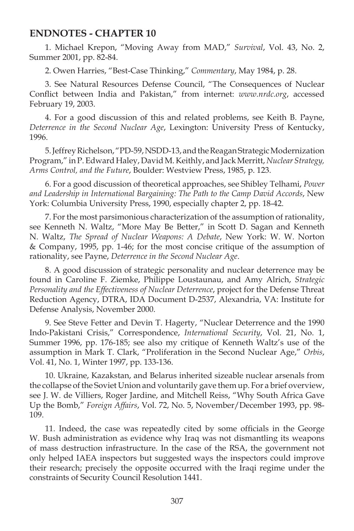#### **ENDNOTES - CHAPTER 10**

1. Michael Krepon, "Moving Away from MAD," *Survival*, Vol. 43, No. 2, Summer 2001, pp. 82-84.

2. Owen Harries, "Best-Case Thinking," *Commentary*, May 1984, p. 28.

3. See Natural Resources Defense Council, "The Consequences of Nuclear Conflict between India and Pakistan," from internet: *www.nrdc.org*, accessed February 19, 2003.

4. For a good discussion of this and related problems, see Keith B. Payne, *Deterrence in the Second Nuclear Age*, Lexington: University Press of Kentucky, 1996.

5. Jeffrey Richelson, "PD-59, NSDD-13, and the Reagan Strategic Modernization Program," in P. Edward Haley, David M. Keithly, and Jack Merritt, *Nuclear Strategy, Arms Control, and the Future*, Boulder: Westview Press, 1985, p. 123.

6. For a good discussion of theoretical approaches, see Shibley Telhami, *Power and Leadership in International Bargaining: The Path to the Camp David Accords*, New York: Columbia University Press, 1990, especially chapter 2, pp. 18-42.

7. For the most parsimonious characterization of the assumption of rationality, see Kenneth N. Waltz, "More May Be Better," in Scott D. Sagan and Kenneth N. Waltz, *The Spread of Nuclear Weapons: A Debate*, New York: W. W. Norton & Company, 1995, pp. 1-46; for the most concise critique of the assumption of rationality, see Payne, *Deterrence in the Second Nuclear Age*.

8. A good discussion of strategic personality and nuclear deterrence may be found in Caroline F. Ziemke, Philippe Loustaunau, and Amy Alrich, *Strategic Personality and the Effectiveness of Nuclear Deterrence*, project for the Defense Threat Reduction Agency, DTRA, IDA Document D-2537, Alexandria, VA: Institute for Defense Analysis, November 2000.

9. See Steve Fetter and Devin T. Hagerty, "Nuclear Deterrence and the 1990 Indo-Pakistani Crisis," Correspondence, *International Security*, Vol. 21, No. 1, Summer 1996, pp. 176-185; see also my critique of Kenneth Waltz's use of the assumption in Mark T. Clark, "Proliferation in the Second Nuclear Age," *Orbis*, Vol. 41, No. 1, Winter 1997, pp. 133-136.

10. Ukraine, Kazakstan, and Belarus inherited sizeable nuclear arsenals from the collapse of the Soviet Union and voluntarily gave them up. For a brief overview, see J. W. de Villiers, Roger Jardine, and Mitchell Reiss, "Why South Africa Gave Up the Bomb," *Foreign Affairs*, Vol. 72, No. 5, November/December 1993, pp. 98- 109.

11. Indeed, the case was repeatedly cited by some officials in the George W. Bush administration as evidence why Iraq was not dismantling its weapons of mass destruction infrastructure. In the case of the RSA, the government not only helped IAEA inspectors but suggested ways the inspectors could improve their research; precisely the opposite occurred with the Iraqi regime under the constraints of Security Council Resolution 1441.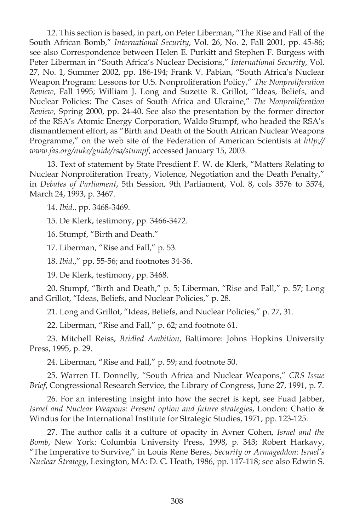12. This section is based, in part, on Peter Liberman, "The Rise and Fall of the South African Bomb," *International Security*, Vol. 26, No. 2, Fall 2001, pp. 45-86; see also Correspondence between Helen E. Purkitt and Stephen F. Burgess with Peter Liberman in "South Africa's Nuclear Decisions," *International Security*, Vol. 27, No. 1, Summer 2002, pp. 186-194; Frank V. Pabian, "South Africa's Nuclear Weapon Program: Lessons for U.S. Nonproliferation Policy," *The Nonproliferation Review*, Fall 1995; William J. Long and Suzette R. Grillot, "Ideas, Beliefs, and Nuclear Policies: The Cases of South Africa and Ukraine," *The Nonproliferation Review*, Spring 2000, pp. 24-40. See also the presentation by the former director of the RSA's Atomic Energy Corporation, Waldo Stumpf, who headed the RSA's dismantlement effort, as "Birth and Death of the South African Nuclear Weapons Programme," on the web site of the Federation of American Scientists at *http:// www.fas.org/nuke/guide/rsa/stumpf*, accessed January 15, 2003.

13. Text of statement by State Presdient F. W. de Klerk, "Matters Relating to Nuclear Nonproliferation Treaty, Violence, Negotiation and the Death Penalty," in *Debates of Parliament*, 5th Session, 9th Parliament, Vol. 8, cols 3576 to 3574, March 24, 1993, p. 3467.

14. *Ibid*., pp. 3468-3469.

15. De Klerk, testimony, pp. 3466-3472.

16. Stumpf, "Birth and Death."

17. Liberman, "Rise and Fall," p. 53.

18. *Ibid*.," pp. 55-56; and footnotes 34-36.

19. De Klerk, testimony, pp. 3468.

20. Stumpf, "Birth and Death," p. 5; Liberman, "Rise and Fall," p. 57; Long and Grillot, "Ideas, Beliefs, and Nuclear Policies," p. 28.

21. Long and Grillot, "Ideas, Beliefs, and Nuclear Policies," p. 27, 31.

22. Liberman, "Rise and Fall," p. 62; and footnote 61.

23. Mitchell Reiss, *Bridled Ambition*, Baltimore: Johns Hopkins University Press, 1995, p. 29.

24. Liberman, "Rise and Fall," p. 59; and footnote 50.

25. Warren H. Donnelly, "South Africa and Nuclear Weapons," *CRS Issue Brief*, Congressional Research Service, the Library of Congress, June 27, 1991, p. 7.

26. For an interesting insight into how the secret is kept, see Fuad Jabber, *Israel and Nuclear Weapons: Present option and future strategies*, London: Chatto & Windus for the International Institute for Strategic Studies, 1971, pp. 123-125.

27. The author calls it a culture of opacity in Avner Cohen, *Israel and the Bomb*, New York: Columbia University Press, 1998, p. 343; Robert Harkavy, "The Imperative to Survive," in Louis Rene Beres, *Security or Armageddon: Israel's Nuclear Strategy*, Lexington, MA: D. C. Heath, 1986, pp. 117-118; see also Edwin S.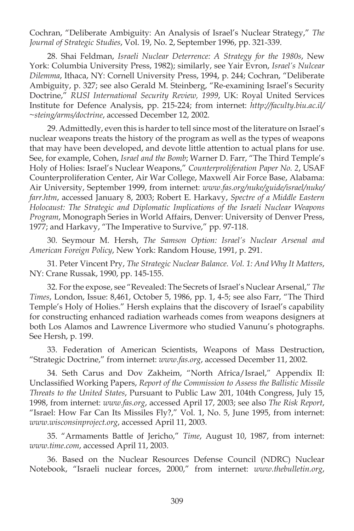Cochran, "Deliberate Ambiguity: An Analysis of Israel's Nuclear Strategy," *The Journal of Strategic Studies*, Vol. 19, No. 2, September 1996, pp. 321-339.

28. Shai Feldman, *Israeli Nuclear Deterrence: A Strategy for the 1980s*, New York: Columbia University Press, 1982); similarly, see Yair Evron, *Israel's Nulcear Dilemma*, Ithaca, NY: Cornell University Press, 1994, p. 244; Cochran, "Deliberate Ambiguity, p. 327; see also Gerald M. Steinberg, "Re-examining Israel's Security Doctrine," *RUSI International Security Review, 1999*, UK: Royal United Services Institute for Defence Analysis, pp. 215-224; from internet: *http://faculty.biu.ac.il/ ~steing/arms/doctrine*, accessed December 12, 2002.

29. Admittedly, even this is harder to tell since most of the literature on Israel's nuclear weapons treats the history of the program as well as the types of weapons that may have been developed, and devote little attention to actual plans for use. See, for example, Cohen, *Israel and the Bomb*; Warner D. Farr, "The Third Temple's Holy of Holies: Israel's Nuclear Weapons," *Counterproliferation Paper No. 2*, USAF Counterproliferation Center, Air War College, Maxwell Air Force Base, Alabama: Air University, September 1999, from internet: *www.fas.org/nuke/guide/israel/nuke/ farr.htm*, accessed January 8, 2003; Robert E. Harkavy, *Spectre of a Middle Eastern Holocaust: The Strategic and Diplomatic Implications of the Israeli Nuclear Weapons Program*, Monograph Series in World Affairs, Denver: University of Denver Press, 1977; and Harkavy, "The Imperative to Survive," pp. 97-118.

30. Seymour M. Hersh, *The Samson Option: Israel's Nuclear Arsenal and American Foreign Policy*, New York: Random House, 1991, p. 291.

31. Peter Vincent Pry, *The Strategic Nuclear Balance. Vol. 1: And Why It Matters*, NY: Crane Russak, 1990, pp. 145-155.

32. For the expose, see "Revealed: The Secrets of Israel's Nuclear Arsenal," *The Times*, London, Issue: 8,461, October 5, 1986, pp. 1, 4-5; see also Farr, "The Third Temple's Holy of Holies." Hersh explains that the discovery of Israel's capability for constructing enhanced radiation warheads comes from weapons designers at both Los Alamos and Lawrence Livermore who studied Vanunu's photographs. See Hersh, p. 199.

33. Federation of American Scientists, Weapons of Mass Destruction, "Strategic Doctrine," from internet: *www.fas.org*, accessed December 11, 2002.

34. Seth Carus and Dov Zakheim, "North Africa/Israel," Appendix II: Unclassifi ed Working Papers, *Report of the Commission to Assess the Ballistic Missile Threats to the United States*, Pursuant to Public Law 201, 104th Congress, July 15, 1998, from internet: *www.fas.org*, accessed April 17, 2003; see also *The Risk Report*, "Israel: How Far Can Its Missiles Fly?," Vol. 1, No. 5, June 1995, from internet: *www.wisconsinproject.org*, accessed April 11, 2003.

35. "Armaments Battle of Jericho," *Time*, August 10, 1987, from internet: *www.time.com*, accessed April 11, 2003.

36. Based on the Nuclear Resources Defense Council (NDRC) Nuclear Notebook, "Israeli nuclear forces, 2000," from internet: *www.thebulletin.org*,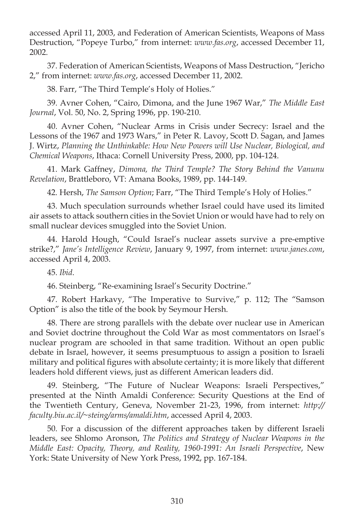accessed April 11, 2003, and Federation of American Scientists, Weapons of Mass Destruction, "Popeye Turbo," from internet: *www.fas.org*, accessed December 11, 2002.

37. Federation of American Scientists, Weapons of Mass Destruction, "Jericho 2," from internet: *www.fas.org*, accessed December 11, 2002.

38. Farr, "The Third Temple's Holy of Holies."

39. Avner Cohen, "Cairo, Dimona, and the June 1967 War," *The Middle East Journal*, Vol. 50, No. 2, Spring 1996, pp. 190-210.

40. Avner Cohen, "Nuclear Arms in Crisis under Secrecy: Israel and the Lessons of the 1967 and 1973 Wars," in Peter R. Lavoy, Scott D. Sagan, and James J. Wirtz, *Planning the Unthinkable: How New Powers will Use Nuclear, Biological, and Chemical Weapons*, Ithaca: Cornell University Press, 2000, pp. 104-124.

41. Mark Gaffney, *Dimona, the Third Temple? The Story Behind the Vanunu Revelation*, Brattleboro, VT: Amana Books, 1989, pp. 144-149.

42. Hersh, *The Samson Option*; Farr, "The Third Temple's Holy of Holies."

43. Much speculation surrounds whether Israel could have used its limited air assets to attack southern cities in the Soviet Union or would have had to rely on small nuclear devices smuggled into the Soviet Union.

44. Harold Hough, "Could Israel's nuclear assets survive a pre-emptive strike?," *Jane's Intelligence Review*, January 9, 1997, from internet: *www.janes.com*, accessed April 4, 2003.

45. *Ibid*.

46. Steinberg, "Re-examining Israel's Security Doctrine."

47. Robert Harkavy, "The Imperative to Survive," p. 112; The "Samson Option" is also the title of the book by Seymour Hersh.

48. There are strong parallels with the debate over nuclear use in American and Soviet doctrine throughout the Cold War as most commentators on Israel's nuclear program are schooled in that same tradition. Without an open public debate in Israel, however, it seems presumptuous to assign a position to Israeli military and political figures with absolute certainty; it is more likely that different leaders hold different views, just as different American leaders did.

49. Steinberg, "The Future of Nuclear Weapons: Israeli Perspectives," presented at the Ninth Amaldi Conference: Security Questions at the End of the Twentieth Century, Geneva, November 21-23, 1996, from internet: *http:// faculty.biu.ac.il/~steing/arms/amaldi.htm*, accessed April 4, 2003.

50. For a discussion of the different approaches taken by different Israeli leaders, see Shlomo Aronson, *The Politics and Strategy of Nuclear Weapons in the Middle East: Opacity, Theory, and Reality, 1960-1991: An Israeli Perspective*, New York: State University of New York Press, 1992, pp. 167-184.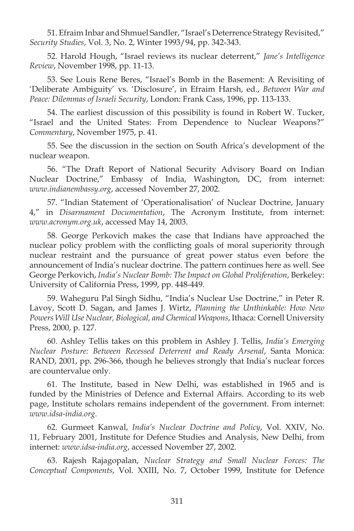51. Efraim Inbar and Shmuel Sandler, "Israel's Deterrence Strategy Revisited," *Security Studies*, Vol. 3, No. 2, Winter 1993/94, pp. 342-343.

52. Harold Hough, "Israel reviews its nuclear deterrent," *Jane's Intelligence Review*, November 1998, pp. 11-13.

53. See Louis Rene Beres, "Israel's Bomb in the Basement: A Revisiting of 'Deliberate Ambiguity' vs. 'Disclosure', in Efraim Harsh, ed., *Between War and Peace: Dilemmas of Israeli Security*, London: Frank Cass, 1996, pp. 113-133.

54. The earliest discussion of this possibility is found in Robert W. Tucker, "Israel and the United States: From Dependence to Nuclear Weapons?" *Commentary*, November 1975, p. 41.

55. See the discussion in the section on South Africa's development of the nuclear weapon.

56. "The Draft Report of National Security Advisory Board on Indian Nuclear Doctrine," Embassy of India, Washington, DC, from internet: *www.indianembassy.org*, accessed November 27, 2002.

57. "Indian Statement of 'Operationalisation' of Nuclear Doctrine, January 4," in *Disarmament Documentation*, The Acronym Institute, from internet: *www.acronym.org.uk*, accessed May 14, 2003.

58. George Perkovich makes the case that Indians have approached the nuclear policy problem with the conflicting goals of moral superiority through nuclear restraint and the pursuance of great power status even before the announcement of India's nuclear doctrine. The pattern continues here as well. See George Perkovich, *India's Nuclear Bomb: The Impact on Global Proliferation*, Berkeley: University of California Press, 1999, pp. 448-449.

59. Waheguru Pal Singh Sidhu, "India's Nuclear Use Doctrine," in Peter R. Lavoy, Scott D. Sagan, and James J. Wirtz, *Planning the Unthinkable: How New Powers Will Use Nuclear, Biological, and Chemical Weapons*, Ithaca: Cornell University Press, 2000, p. 127.

60. Ashley Tellis takes on this problem in Ashley J. Tellis, *India's Emerging Nuclear Posture: Between Recessed Deterrent and Ready Arsenal*, Santa Monica: RAND, 2001, pp. 296-366, though he believes strongly that India's nuclear forces are countervalue only.

61. The Institute, based in New Delhi, was established in 1965 and is funded by the Ministries of Defence and External Affairs. According to its web page, Institute scholars remains independent of the government. From internet: *www.idsa-india.org*.

62. Gurmeet Kanwal, *India's Nuclear Doctrine and Policy*, Vol. XXIV, No. 11, February 2001, Institute for Defence Studies and Analysis, New Delhi, from internet: *www.idsa-india.org*, accessed November 27, 2002.

63. Rajesh Rajagopalan, *Nuclear Strategy and Small Nuclear Forces: The Conceptual Components*, Vol. XXIII, No. 7, October 1999, Institute for Defence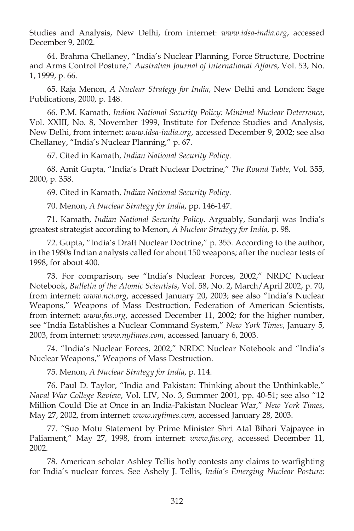Studies and Analysis, New Delhi, from internet: *www.idsa-india.org*, accessed December 9, 2002.

64. Brahma Chellaney, "India's Nuclear Planning, Force Structure, Doctrine and Arms Control Posture," *Australian Journal of International Affairs*, Vol. 53, No. 1, 1999, p. 66.

65. Raja Menon, *A Nuclear Strategy for India*, New Delhi and London: Sage Publications, 2000, p. 148.

66. P.M. Kamath, *Indian National Security Policy: Minimal Nuclear Deterrence*, Vol. XXIII, No. 8, November 1999, Institute for Defence Studies and Analysis, New Delhi, from internet: *www.idsa-india.org*, accessed December 9, 2002; see also Chellaney, "India's Nuclear Planning," p. 67.

67. Cited in Kamath, *Indian National Security Policy*.

68. Amit Gupta, "India's Draft Nuclear Doctrine," *The Round Table*, Vol. 355, 2000, p. 358.

69. Cited in Kamath, *Indian National Security Policy*.

70. Menon, *A Nuclear Strategy for India*, pp. 146-147.

71. Kamath, *Indian National Security Policy*. Arguably, Sundarji was India's greatest strategist according to Menon, *A Nuclear Strategy for India*, p. 98.

72. Gupta, "India's Draft Nuclear Doctrine," p. 355. According to the author, in the 1980s Indian analysts called for about 150 weapons; after the nuclear tests of 1998, for about 400.

73. For comparison, see "India's Nuclear Forces, 2002," NRDC Nuclear Notebook, *Bulletin of the Atomic Scientists*, Vol. 58, No. 2, March/April 2002, p. 70, from internet: *www.nci.org*, accessed January 20, 2003; see also "India's Nuclear Weapons," Weapons of Mass Destruction, Federation of American Scientists, from internet: *www.fas.org*, accessed December 11, 2002; for the higher number, see "India Establishes a Nuclear Command System," *New York Times*, January 5, 2003, from internet: *www.nytimes.com*, accessed January 6, 2003.

74. "India's Nuclear Forces, 2002," NRDC Nuclear Notebook and "India's Nuclear Weapons," Weapons of Mass Destruction.

75. Menon, *A Nuclear Strategy for India*, p. 114.

76. Paul D. Taylor, "India and Pakistan: Thinking about the Unthinkable," *Naval War College Review*, Vol. LIV, No. 3, Summer 2001, pp. 40-51; see also "12 Million Could Die at Once in an India-Pakistan Nuclear War," *New York Times*, May 27, 2002, from internet: *www.nytimes.com*, accessed January 28, 2003.

77. "Suo Motu Statement by Prime Minister Shri Atal Bihari Vajpayee in Paliament," May 27, 1998, from internet: *www.fas.org*, accessed December 11, 2002.

78. American scholar Ashley Tellis hotly contests any claims to warfighting for India's nuclear forces. See Ashely J. Tellis, *India's Emerging Nuclear Posture:*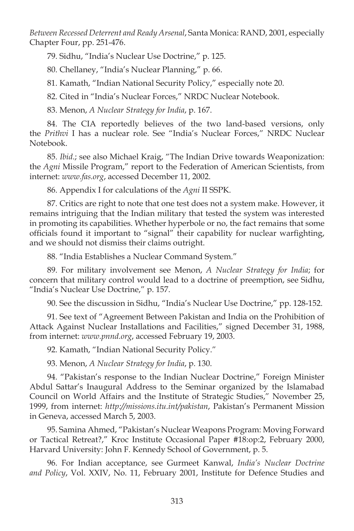*Between Recessed Deterrent and Ready Arsenal*, Santa Monica: RAND, 2001, especially Chapter Four, pp. 251-476.

79. Sidhu, "India's Nuclear Use Doctrine," p. 125.

80. Chellaney, "India's Nuclear Planning," p. 66.

81. Kamath, "Indian National Security Policy," especially note 20.

82. Cited in "India's Nuclear Forces," NRDC Nuclear Notebook.

83. Menon, *A Nuclear Strategy for India*, p. 167.

84. The CIA reportedly believes of the two land-based versions, only the *Prithvi* I has a nuclear role. See "India's Nuclear Forces," NRDC Nuclear Notebook.

85. *Ibid*.; see also Michael Kraig, "The Indian Drive towards Weaponization: the *Agni* Missile Program," report to the Federation of American Scientists, from internet: *www.fas.org*, accessed December 11, 2002.

86. Appendix I for calculations of the *Agni* II SSPK.

87. Critics are right to note that one test does not a system make. However, it remains intriguing that the Indian military that tested the system was interested in promoting its capabilities. Whether hyperbole or no, the fact remains that some officials found it important to "signal" their capability for nuclear warfighting, and we should not dismiss their claims outright.

88. "India Establishes a Nuclear Command System."

89. For military involvement see Menon, *A Nuclear Strategy for India*; for concern that military control would lead to a doctrine of preemption, see Sidhu, "India's Nuclear Use Doctrine," p. 157.

90. See the discussion in Sidhu, "India's Nuclear Use Doctrine," pp. 128-152.

91. See text of "Agreement Between Pakistan and India on the Prohibition of Attack Against Nuclear Installations and Facilities," signed December 31, 1988, from internet: *www.pnnd.org*, accessed February 19, 2003.

92. Kamath, "Indian National Security Policy."

93. Menon, *A Nuclear Strategy for India*, p. 130.

94. "Pakistan's response to the Indian Nuclear Doctrine," Foreign Minister Abdul Sattar's Inaugural Address to the Seminar organized by the Islamabad Council on World Affairs and the Institute of Strategic Studies," November 25, 1999, from internet: *http://missions.itu.int/pakistan*, Pakistan's Permanent Mission in Geneva, accessed March 5, 2003.

95. Samina Ahmed, "Pakistan's Nuclear Weapons Program: Moving Forward or Tactical Retreat?," Kroc Institute Occasional Paper #18:op:2, February 2000, Harvard University: John F. Kennedy School of Government, p. 5.

96. For Indian acceptance, see Gurmeet Kanwal, *India's Nuclear Doctrine and Policy*, Vol. XXIV, No. 11, February 2001, Institute for Defence Studies and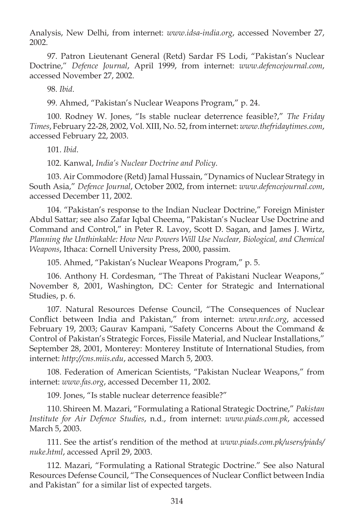Analysis, New Delhi, from internet: *www.idsa-india.org*, accessed November 27, 2002.

97. Patron Lieutenant General (Retd) Sardar FS Lodi, "Pakistan's Nuclear Doctrine," *Defence Journal*, April 1999, from internet: *www.defencejournal.com*, accessed November 27, 2002.

98. *Ibid*.

99. Ahmed, "Pakistan's Nuclear Weapons Program," p. 24.

100. Rodney W. Jones, "Is stable nuclear deterrence feasible?," *The Friday Times*, February 22-28, 2002, Vol. XIII, No. 52, from internet: *www.thefridaytimes.com*, accessed February 22, 2003.

101. *Ibid*.

102. Kanwal, *India's Nuclear Doctrine and Policy*.

103. Air Commodore (Retd) Jamal Hussain, "Dynamics of Nuclear Strategy in South Asia," *Defence Journal*, October 2002, from internet: *www.defencejournal.com*, accessed December 11, 2002.

104. "Pakistan's response to the Indian Nuclear Doctrine," Foreign Minister Abdul Sattar; see also Zafar Iqbal Cheema, "Pakistan's Nuclear Use Doctrine and Command and Control," in Peter R. Lavoy, Scott D. Sagan, and James J. Wirtz, Planning the Unthinkable: How New Powers Will Use Nuclear, Biological, and Chemical *Weapons*, Ithaca: Cornell University Press, 2000, passim.

105. Ahmed, "Pakistan's Nuclear Weapons Program," p. 5.

106. Anthony H. Cordesman, "The Threat of Pakistani Nuclear Weapons," November 8, 2001, Washington, DC: Center for Strategic and International Studies, p. 6.

107. Natural Resources Defense Council, "The Consequences of Nuclear Conflict between India and Pakistan," from internet: *www.nrdc.org*, accessed February 19, 2003; Gaurav Kampani, "Safety Concerns About the Command & Control of Pakistan's Strategic Forces, Fissile Material, and Nuclear Installations," September 28, 2001, Monterey: Monterey Institute of International Studies, from internet: *http://cns.miis.edu*, accessed March 5, 2003.

108. Federation of American Scientists, "Pakistan Nuclear Weapons," from internet: *www.fas.org*, accessed December 11, 2002.

109. Jones, "Is stable nuclear deterrence feasible?"

110. Shireen M. Mazari, "Formulating a Rational Strategic Doctrine," *Pakistan Institute for Air Defence Studies*, n.d., from internet: *www.piads.com.pk*, accessed March 5, 2003.

111. See the artist's rendition of the method at *www.piads.com.pk/users/piads/ nuke.html*, accessed April 29, 2003.

112. Mazari, "Formulating a Rational Strategic Doctrine." See also Natural Resources Defense Council, "The Consequences of Nuclear Conflict between India and Pakistan" for a similar list of expected targets.